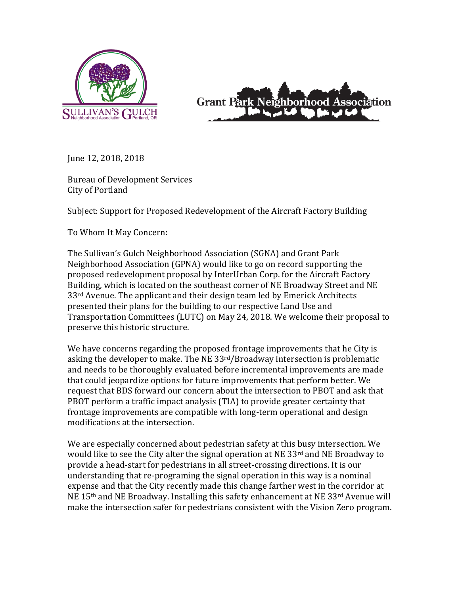



June 12, 2018, 2018

Bureau of Development Services City of Portland

Subject: Support for Proposed Redevelopment of the Aircraft Factory Building

To Whom It May Concern:

The Sullivan's Gulch Neighborhood Association (SGNA) and Grant Park Neighborhood Association (GPNA) would like to go on record supporting the proposed redevelopment proposal by InterUrban Corp. for the Aircraft Factory Building, which is located on the southeast corner of NE Broadway Street and NE  $33<sup>rd</sup>$  Avenue. The applicant and their design team led by Emerick Architects presented their plans for the building to our respective Land Use and Transportation Committees (LUTC) on May 24, 2018. We welcome their proposal to preserve this historic structure.

We have concerns regarding the proposed frontage improvements that he City is asking the developer to make. The NE  $33rd/B$ roadway intersection is problematic and needs to be thoroughly evaluated before incremental improvements are made that could jeopardize options for future improvements that perform better. We request that BDS forward our concern about the intersection to PBOT and ask that PBOT perform a traffic impact analysis (TIA) to provide greater certainty that frontage improvements are compatible with long-term operational and design modifications at the intersection.

We are especially concerned about pedestrian safety at this busy intersection. We would like to see the City alter the signal operation at NE 33 $rd$  and NE Broadway to provide a head-start for pedestrians in all street-crossing directions. It is our understanding that re-programing the signal operation in this way is a nominal expense and that the City recently made this change farther west in the corridor at NE 15<sup>th</sup> and NE Broadway. Installing this safety enhancement at NE 33<sup>rd</sup> Avenue will make the intersection safer for pedestrians consistent with the Vision Zero program.